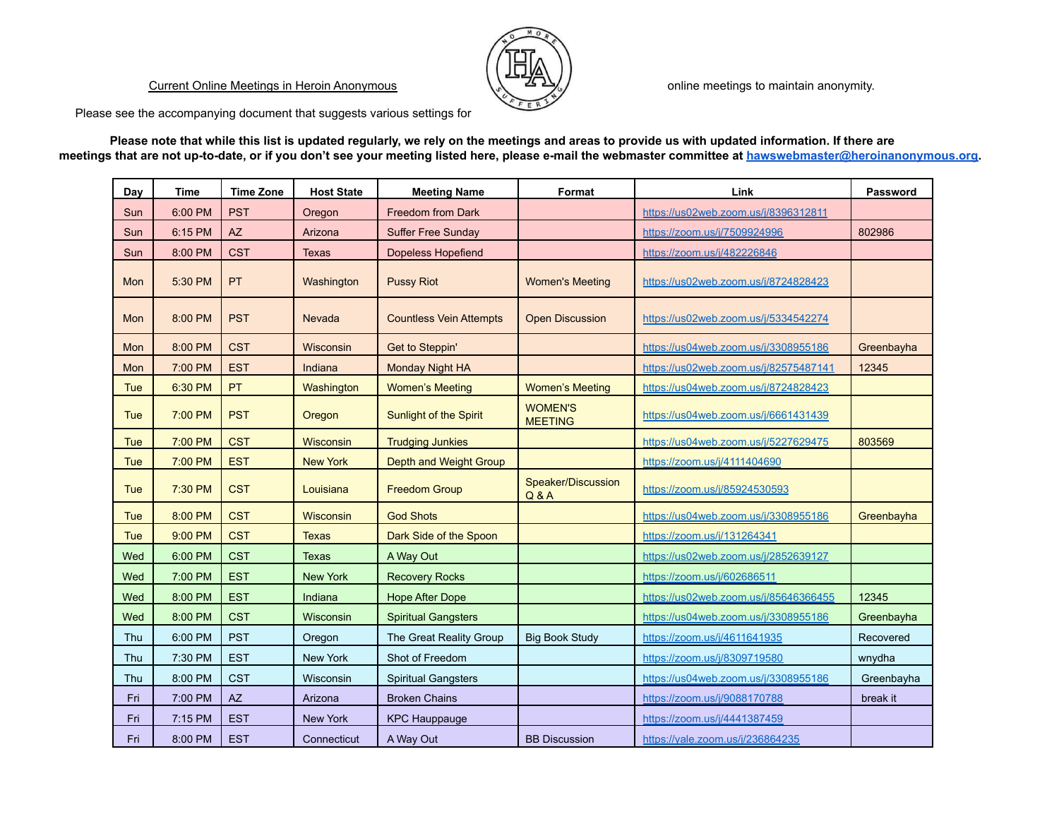## Current Online Meetings in Heroin Anonymous



online meetings to maintain anonymity.

Please see the accompanying document that suggests various settings for

**Please note that while this list is updated regularly, we rely on the meetings and areas to provide us with updated information. If there are meetings that are not up-to-date, or if you don't see your meeting listed here, please e-mail the webmaster committee at [hawswebmaster@heroinanonymous.org.](mailto:hawswebmaster@heroinanonymous.org)**

| Day        | Time    | <b>Time Zone</b> | <b>Host State</b> | <b>Meeting Name</b>            | Format                           | Link                                  | <b>Password</b> |
|------------|---------|------------------|-------------------|--------------------------------|----------------------------------|---------------------------------------|-----------------|
| Sun        | 6:00 PM | <b>PST</b>       | Oregon            | Freedom from Dark              |                                  | https://us02web.zoom.us/j/8396312811  |                 |
| Sun        | 6:15 PM | AZ               | Arizona           | <b>Suffer Free Sunday</b>      |                                  | https://zoom.us/j/7509924996          | 802986          |
| Sun        | 8:00 PM | <b>CST</b>       | Texas             | <b>Dopeless Hopefiend</b>      |                                  | https://zoom.us/i/482226846           |                 |
| Mon        | 5:30 PM | <b>PT</b>        | Washington        | <b>Pussy Riot</b>              | <b>Women's Meeting</b>           | https://us02web.zoom.us/j/8724828423  |                 |
| Mon        | 8:00 PM | <b>PST</b>       | <b>Nevada</b>     | <b>Countless Vein Attempts</b> | <b>Open Discussion</b>           | https://us02web.zoom.us/j/5334542274  |                 |
| Mon        | 8:00 PM | <b>CST</b>       | Wisconsin         | Get to Steppin'                |                                  | https://us04web.zoom.us/j/3308955186  | Greenbayha      |
| Mon        | 7:00 PM | <b>EST</b>       | Indiana           | Monday Night HA                |                                  | https://us02web.zoom.us/j/82575487141 | 12345           |
| Tue        | 6:30 PM | PT               | Washington        | <b>Women's Meeting</b>         | <b>Women's Meeting</b>           | https://us04web.zoom.us/j/8724828423  |                 |
| Tue        | 7:00 PM | <b>PST</b>       | Oregon            | Sunlight of the Spirit         | <b>WOMEN'S</b><br><b>MEETING</b> | https://us04web.zoom.us/j/6661431439  |                 |
| Tue        | 7:00 PM | <b>CST</b>       | Wisconsin         | <b>Trudging Junkies</b>        |                                  | https://us04web.zoom.us/j/5227629475  | 803569          |
| Tue        | 7:00 PM | <b>EST</b>       | <b>New York</b>   | Depth and Weight Group         |                                  | https://zoom.us/j/4111404690          |                 |
| Tue        | 7:30 PM | <b>CST</b>       | Louisiana         | <b>Freedom Group</b>           | Speaker/Discussion<br>Q & A      | https://zoom.us/j/85924530593         |                 |
| <b>Tue</b> | 8:00 PM | <b>CST</b>       | Wisconsin         | <b>God Shots</b>               |                                  | https://us04web.zoom.us/j/3308955186  | Greenbayha      |
| Tue        | 9:00 PM | <b>CST</b>       | Texas             | Dark Side of the Spoon         |                                  | https://zoom.us/i/131264341           |                 |
| Wed        | 6:00 PM | <b>CST</b>       | Texas             | A Way Out                      |                                  | https://us02web.zoom.us/j/2852639127  |                 |
| Wed        | 7:00 PM | <b>EST</b>       | <b>New York</b>   | <b>Recovery Rocks</b>          |                                  | https://zoom.us/j/602686511           |                 |
| Wed        | 8:00 PM | <b>EST</b>       | Indiana           | <b>Hope After Dope</b>         |                                  | https://us02web.zoom.us/j/85646366455 | 12345           |
| Wed        | 8:00 PM | <b>CST</b>       | Wisconsin         | <b>Spiritual Gangsters</b>     |                                  | https://us04web.zoom.us/j/3308955186  | Greenbayha      |
| Thu        | 6:00 PM | <b>PST</b>       | Oregon            | The Great Reality Group        | <b>Big Book Study</b>            | https://zoom.us/j/4611641935          | Recovered       |
| Thu        | 7:30 PM | <b>EST</b>       | <b>New York</b>   | Shot of Freedom                |                                  | https://zoom.us/i/8309719580          | wnydha          |
| Thu        | 8:00 PM | <b>CST</b>       | Wisconsin         | <b>Spiritual Gangsters</b>     |                                  | https://us04web.zoom.us/j/3308955186  | Greenbayha      |
| Fri        | 7:00 PM | AZ               | Arizona           | <b>Broken Chains</b>           |                                  | https://zoom.us/i/9088170788          | break it        |
| Fri        | 7:15 PM | <b>EST</b>       | <b>New York</b>   | <b>KPC Hauppauge</b>           |                                  | https://zoom.us/j/4441387459          |                 |
| Fri        | 8:00 PM | <b>EST</b>       | Connecticut       | A Way Out                      | <b>BB Discussion</b>             | https://yale.zoom.us/j/236864235      |                 |